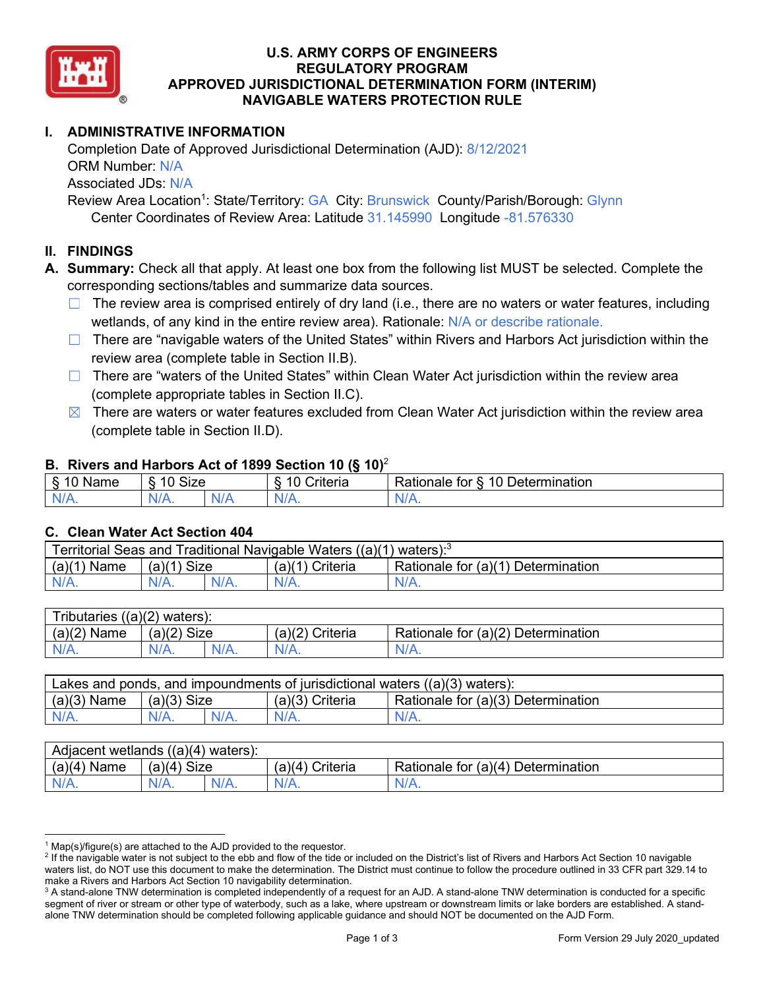

### U.S. ARMY CORPS OF ENGINEERS APPROVED JURISDICTIONAL DETERMINATION FORM (INTERIM) NAVIGABLE WATERS PROTECTION RULE REGULATORY PROGRAM

# I. ADMINISTRATIVE INFORMATION

 Completion Date of Approved Jurisdictional Determination (AJD): 8/12/2021 ORM Number: N/A Associated JDs: N/A Review Area Location<sup>1</sup>: State/Territory: GA City: Brunswick County/Parish/Borough: Glynn

Center Coordinates of Review Area: Latitude 31.145990 Longitude -81.576330

### II. FINDINGS

A. Summary: Check all that apply. At least one box from the following list MUST be selected. Complete the corresponding sections/tables and summarize data sources.

- The review area is comprised entirely of dry land (i.e., there are no waters or water features, including wetlands, of any kind in the entire review area). Rationale: N/A or describe rationale.
- There are "navigable waters of the United States" within Rivers and Harbors Act jurisdiction within the review area (complete table in Section II.B).
- There are "waters of the United States" within Clean Water Act jurisdiction within the review area (complete appropriate tables in Section II.C).
- There are waters or water features excluded from Clean Water Act jurisdiction within the review area (complete table in Section II.D).

### B. Rivers and Harbors Act of 1899 Section 10 (§ 10)<sup>2</sup>

| Name         | Size<br>$\overline{A}$ |   | $\cdot$<br>A C<br>$"$ with a wind<br>'UIC | $\overline{\phantom{a}}$<br>10<br>Jetermination<br>tor<br>-------<br>ationale a |
|--------------|------------------------|---|-------------------------------------------|---------------------------------------------------------------------------------|
| _<br>$N/A$ . | $N/A$ .                | N | 'V/A.                                     | $\mathbf{v}$<br>97 / TV .                                                       |

#### C. Clean Water Act Section 404

| Territorial Seas and Traditional Navigable Waters ((a)(1)<br>$\lambda$ waters): |                |         |                                  |                                    |  |  |
|---------------------------------------------------------------------------------|----------------|---------|----------------------------------|------------------------------------|--|--|
| (a)(1)<br>Name                                                                  | Size<br>(a)(1) |         | <sup>''</sup> Criteria<br>(a)(1) | Rationale for (a)(1) Determination |  |  |
| $N/A$ .                                                                         | $N/A$ .        | $N/A$ . | $N/A$ .                          | $N/A$ .                            |  |  |

| Tributaries $((a)(2)$ waters): |               |  |                 |                                    |  |  |
|--------------------------------|---------------|--|-----------------|------------------------------------|--|--|
| $(a)(2)$ Name                  | $(a)(2)$ Size |  | (a)(2) Criteria | Rationale for (a)(2) Determination |  |  |
| $N/A$ .                        | N/A.          |  | $N/A$ .         | $N/A$ .                            |  |  |

| Lakes and ponds, and impoundments of jurisdictional waters $((a)(3)$ waters): |               |         |                 |                                    |  |
|-------------------------------------------------------------------------------|---------------|---------|-----------------|------------------------------------|--|
| $(a)(3)$ Name                                                                 | $(a)(3)$ Size |         | (a)(3) Criteria | Rationale for (a)(3) Determination |  |
| $N/A$ .                                                                       |               | $N/A$ . | $N/A$ .         | $N/A$ .                            |  |

| Adjacent wetlands<br>$(2)(4)$ waters): |                |         |                    |                                |  |  |
|----------------------------------------|----------------|---------|--------------------|--------------------------------|--|--|
| (a)(4)<br>Name                         | Size<br>(a)(4) |         | (a)(4`<br>Criteria | Rationale for<br>Determination |  |  |
| $N/A$ .                                | $N/A$ .        | $N/A$ . | $N/A$ .            | $N/A$ .                        |  |  |

 $1$  Map(s)/figure(s) are attached to the AJD provided to the requestor.

<sup>&</sup>lt;sup>2</sup> If the navigable water is not subject to the ebb and flow of the tide or included on the District's list of Rivers and Harbors Act Section 10 navigable waters list, do NOT use this document to make the determination. The District must continue to follow the procedure outlined in 33 CFR part 329.14 to make a Rivers and Harbors Act Section 10 navigability determination.

 $^3$  A stand-alone TNW determination is completed independently of a request for an AJD. A stand-alone TNW determination is conducted for a specific segment of river or stream or other type of waterbody, such as a lake, where upstream or downstream limits or lake borders are established. A stand-alone TNW determination should be completed following applicable guidance and should NOT be documented on the AJD Form.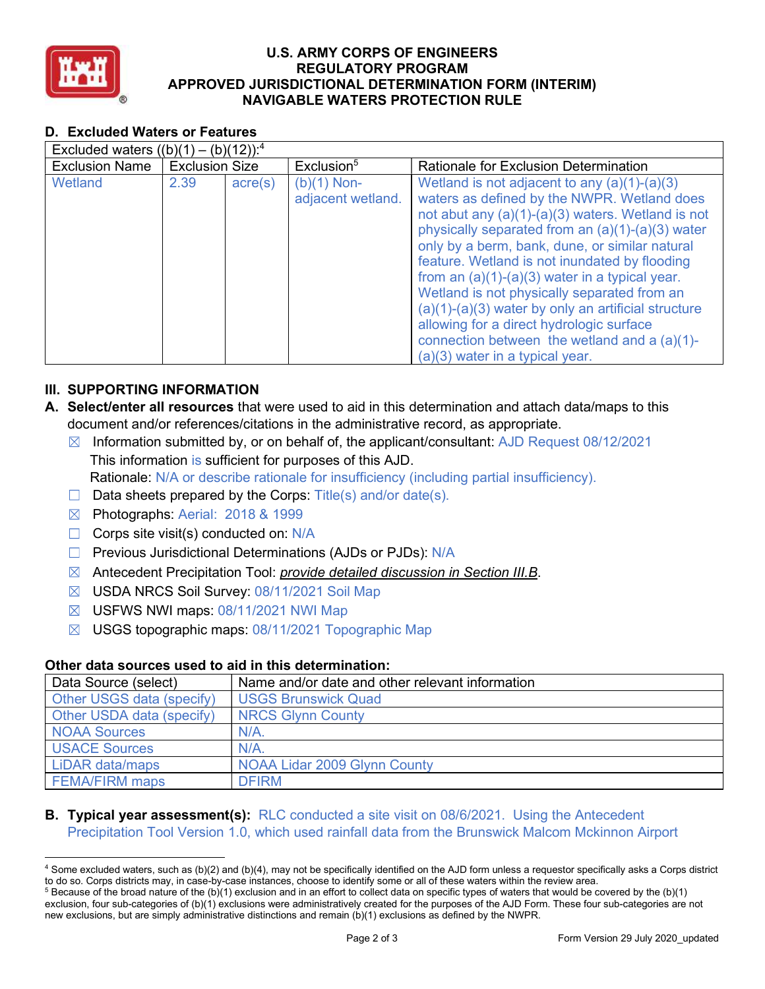

### U.S. ARMY CORPS OF ENGINEERS APPROVED JURISDICTIONAL DETERMINATION FORM (INTERIM) NAVIGABLE WATERS PROTECTION RULE REGULATORY PROGRAM

## D. Excluded Waters or Features

| Excluded waters $((b)(1) - (b)(12))$ : <sup>4</sup> |                       |                  |                                    |                                                                                                                                                                                                                                                                                                                                                                                                                                                                                                                                                                                                           |  |  |
|-----------------------------------------------------|-----------------------|------------------|------------------------------------|-----------------------------------------------------------------------------------------------------------------------------------------------------------------------------------------------------------------------------------------------------------------------------------------------------------------------------------------------------------------------------------------------------------------------------------------------------------------------------------------------------------------------------------------------------------------------------------------------------------|--|--|
| <b>Exclusion Name</b>                               | <b>Exclusion Size</b> |                  | Exclusion <sup>5</sup>             | Rationale for Exclusion Determination                                                                                                                                                                                                                                                                                                                                                                                                                                                                                                                                                                     |  |  |
| Wetland                                             | 2.39                  | $\text{acre}(s)$ | $(b)(1)$ Non-<br>adjacent wetland. | Wetland is not adjacent to any $(a)(1)-(a)(3)$<br>waters as defined by the NWPR. Wetland does<br>not abut any (a)(1)-(a)(3) waters. Wetland is not<br>physically separated from an (a)(1)-(a)(3) water<br>only by a berm, bank, dune, or similar natural<br>feature. Wetland is not inundated by flooding<br>from an $(a)(1)-(a)(3)$ water in a typical year.<br>Wetland is not physically separated from an<br>$(a)(1)-(a)(3)$ water by only an artificial structure<br>allowing for a direct hydrologic surface<br>connection between the wetland and a $(a)(1)$ -<br>$(a)(3)$ water in a typical year. |  |  |

## III. SUPPORTING INFORMATION

- A. Select/enter all resources that were used to aid in this determination and attach data/maps to this document and/or references/citations in the administrative record, as appropriate.
	- Information submitted by, or on behalf of, the applicant/consultant: AJD Request 08/12/2021 This information is sufficient for purposes of this AJD. Rationale: N/A or describe rationale for insufficiency (including partial insufficiency).
	- □ Data sheets prepared by the Corps: Title(s) and/or date(s).
	- IZI Photographs: Aerial: 2018 & 1999
	- □ Corps site visit(s) conducted on: N/A
	- □ Previous Jurisdictional Determinations (AJDs or PJDs): N/A
	- ⊠ Antecedent Precipitation Tool: *provide detailed discussion in Section III.B*.
	- ⊠ USDA NRCS Soil Survey: 08/11/2021 Soil Map
	- ⊠ USFWS NWI maps: 08/11/2021 NWI Map
	- ⊠ USGS topographic maps: 08/11/2021 Topographic Map

### Other data sources used to aid in this determination:

| Data Source (select)      | Name and/or date and other relevant information |
|---------------------------|-------------------------------------------------|
| Other USGS data (specify) | <b>USGS Brunswick Quad</b>                      |
| Other USDA data (specify) | <b>NRCS Glynn County</b>                        |
| <b>NOAA Sources</b>       | $N/A$ .                                         |
| <b>USACE Sources</b>      | $N/A$ .                                         |
| LiDAR data/maps           | NOAA Lidar 2009 Glynn County                    |
| <b>FEMA/FIRM maps</b>     | <b>DFIRM</b>                                    |

## **B. Typical year assessment(s):** RLC conducted a site visit on 08/6/2021. Using the Antecedent Precipitation Tool Version 1.0, which used rainfall data from the Brunswick Malcom Mckinnon Airport

 $^4$  Some excluded waters, such as (b)(2) and (b)(4), may not be specifically identified on the AJD form unless a requestor specifically asks a Corps district to do so. Corps districts may, in case-by-case instances, choose to identify some or all of these waters within the review area.

 $^5$  Because of the broad nature of the (b)(1) exclusion and in an effort to collect data on specific types of waters that would be covered by the (b)(1) exclusion, four sub-categories of (b)(1) exclusions were administratively created for the purposes of the AJD Form. These four sub-categories are not new exclusions, but are simply administrative distinctions and remain (b)(1) exclusions as defined by the NWPR.